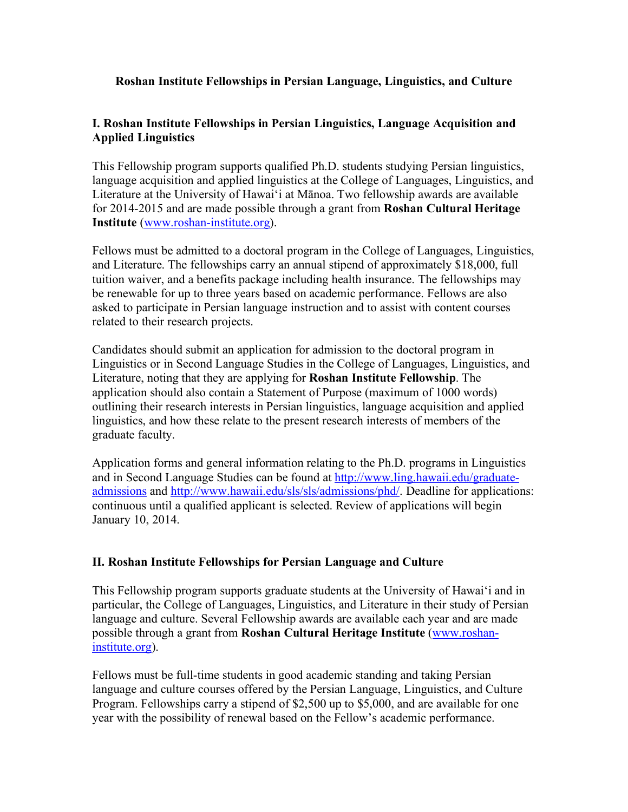## **Roshan Institute Fellowships in Persian Language, Linguistics, and Culture**

## **I. Roshan Institute Fellowships in Persian Linguistics, Language Acquisition and Applied Linguistics**

This Fellowship program supports qualified Ph.D. students studying Persian linguistics, language acquisition and applied linguistics at the College of Languages, Linguistics, and Literature at the University of Hawai'i at Mānoa. Two fellowship awards are available for 2014-2015 and are made possible through a grant from **Roshan Cultural Heritage Institute** (www.roshan-institute.org).

Fellows must be admitted to a doctoral program in the College of Languages, Linguistics, and Literature. The fellowships carry an annual stipend of approximately \$18,000, full tuition waiver, and a benefits package including health insurance. The fellowships may be renewable for up to three years based on academic performance. Fellows are also asked to participate in Persian language instruction and to assist with content courses related to their research projects.

Candidates should submit an application for admission to the doctoral program in Linguistics or in Second Language Studies in the College of Languages, Linguistics, and Literature, noting that they are applying for **Roshan Institute Fellowship**. The application should also contain a Statement of Purpose (maximum of 1000 words) outlining their research interests in Persian linguistics, language acquisition and applied linguistics, and how these relate to the present research interests of members of the graduate faculty.

Application forms and general information relating to the Ph.D. programs in Linguistics and in Second Language Studies can be found at http://www.ling.hawaii.edu/graduateadmissions and http://www.hawaii.edu/sls/sls/admissions/phd/. Deadline for applications: continuous until a qualified applicant is selected. Review of applications will begin January 10, 2014.

## **II. Roshan Institute Fellowships for Persian Language and Culture**

This Fellowship program supports graduate students at the University of Hawai'i and in particular, the College of Languages, Linguistics, and Literature in their study of Persian language and culture. Several Fellowship awards are available each year and are made possible through a grant from **Roshan Cultural Heritage Institute** (www.roshaninstitute.org).

Fellows must be full-time students in good academic standing and taking Persian language and culture courses offered by the Persian Language, Linguistics, and Culture Program. Fellowships carry a stipend of \$2,500 up to \$5,000, and are available for one year with the possibility of renewal based on the Fellow's academic performance.